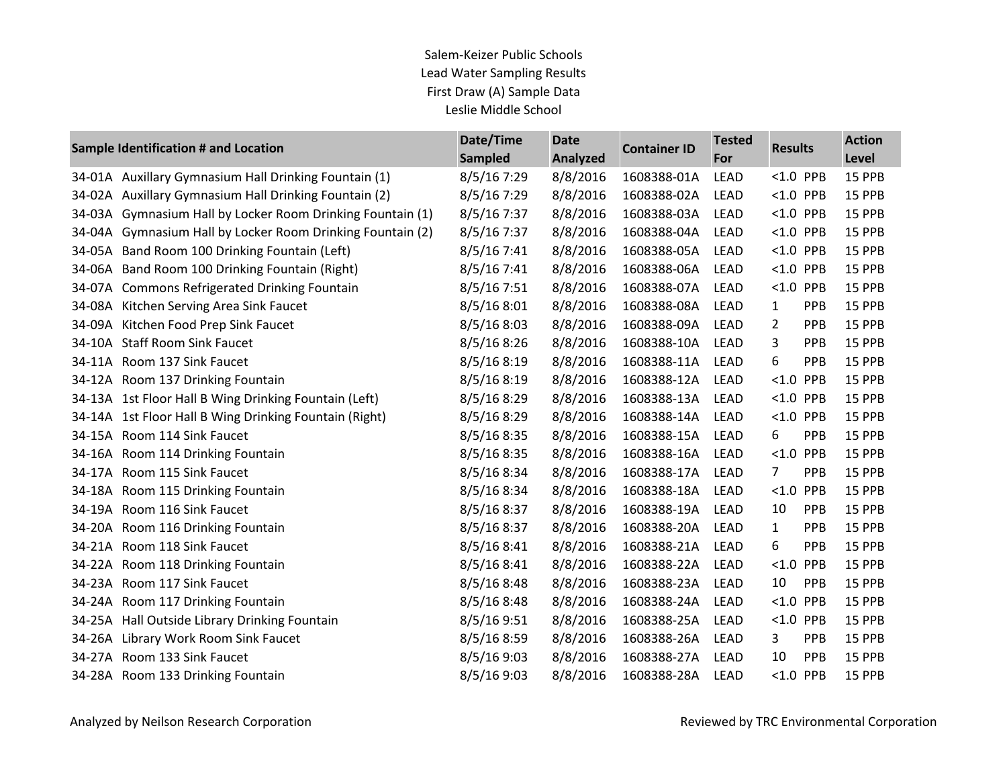|        | Sample Identification # and Location                       | Date/Time<br><b>Sampled</b> | <b>Date</b><br><b>Analyzed</b> | <b>Container ID</b> | <b>Tested</b><br>For | <b>Results</b> |            | <b>Action</b><br>Level |
|--------|------------------------------------------------------------|-----------------------------|--------------------------------|---------------------|----------------------|----------------|------------|------------------------|
|        | 34-01A Auxillary Gymnasium Hall Drinking Fountain (1)      | 8/5/167:29                  | 8/8/2016                       | 1608388-01A         | LEAD                 | $< 1.0$ PPB    |            | 15 PPB                 |
|        | 34-02A Auxillary Gymnasium Hall Drinking Fountain (2)      | 8/5/167:29                  | 8/8/2016                       | 1608388-02A         | <b>LEAD</b>          | $< 1.0$ PPB    |            | 15 PPB                 |
|        | 34-03A Gymnasium Hall by Locker Room Drinking Fountain (1) | 8/5/167:37                  | 8/8/2016                       | 1608388-03A         | <b>LEAD</b>          | $< 1.0$ PPB    |            | 15 PPB                 |
| 34-04A | Gymnasium Hall by Locker Room Drinking Fountain (2)        | 8/5/167:37                  | 8/8/2016                       | 1608388-04A         | <b>LEAD</b>          | $< 1.0$ PPB    |            | 15 PPB                 |
|        | 34-05A Band Room 100 Drinking Fountain (Left)              | 8/5/167:41                  | 8/8/2016                       | 1608388-05A         | <b>LEAD</b>          | $< 1.0$ PPB    |            | 15 PPB                 |
| 34-06A | Band Room 100 Drinking Fountain (Right)                    | 8/5/167:41                  | 8/8/2016                       | 1608388-06A         | <b>LEAD</b>          | < 1.0          | PPB        | 15 PPB                 |
|        | 34-07A Commons Refrigerated Drinking Fountain              | 8/5/167:51                  | 8/8/2016                       | 1608388-07A         | <b>LEAD</b>          | $< 1.0$ PPB    |            | 15 PPB                 |
|        | 34-08A Kitchen Serving Area Sink Faucet                    | 8/5/168:01                  | 8/8/2016                       | 1608388-08A         | <b>LEAD</b>          | $\mathbf{1}$   | PPB        | 15 PPB                 |
|        | 34-09A Kitchen Food Prep Sink Faucet                       | 8/5/168:03                  | 8/8/2016                       | 1608388-09A         | <b>LEAD</b>          | $\overline{2}$ | PPB        | 15 PPB                 |
|        | 34-10A Staff Room Sink Faucet                              | 8/5/168:26                  | 8/8/2016                       | 1608388-10A         | <b>LEAD</b>          | 3              | PPB        | 15 PPB                 |
|        | 34-11A Room 137 Sink Faucet                                | 8/5/16 8:19                 | 8/8/2016                       | 1608388-11A         | <b>LEAD</b>          | 6              | PPB        | 15 PPB                 |
|        | 34-12A Room 137 Drinking Fountain                          | 8/5/168:19                  | 8/8/2016                       | 1608388-12A         | <b>LEAD</b>          | < 1.0          | PPB        | 15 PPB                 |
|        | 34-13A 1st Floor Hall B Wing Drinking Fountain (Left)      | 8/5/16 8:29                 | 8/8/2016                       | 1608388-13A         | <b>LEAD</b>          | $< 1.0$ PPB    |            | 15 PPB                 |
|        | 34-14A 1st Floor Hall B Wing Drinking Fountain (Right)     | 8/5/16 8:29                 | 8/8/2016                       | 1608388-14A         | <b>LEAD</b>          | < 1.0          | PPB        | 15 PPB                 |
|        | 34-15A Room 114 Sink Faucet                                | 8/5/168:35                  | 8/8/2016                       | 1608388-15A         | <b>LEAD</b>          | 6              | PPB        | 15 PPB                 |
|        | 34-16A Room 114 Drinking Fountain                          | 8/5/16 8:35                 | 8/8/2016                       | 1608388-16A         | <b>LEAD</b>          | < 1.0          | PPB        | 15 PPB                 |
|        | 34-17A Room 115 Sink Faucet                                | 8/5/16 8:34                 | 8/8/2016                       | 1608388-17A         | <b>LEAD</b>          | 7              | PPB        | 15 PPB                 |
|        | 34-18A Room 115 Drinking Fountain                          | 8/5/16 8:34                 | 8/8/2016                       | 1608388-18A         | <b>LEAD</b>          | < 1.0          | PPB        | 15 PPB                 |
|        | 34-19A Room 116 Sink Faucet                                | 8/5/168:37                  | 8/8/2016                       | 1608388-19A         | <b>LEAD</b>          | 10             | PPB        | 15 PPB                 |
|        | 34-20A Room 116 Drinking Fountain                          | 8/5/168:37                  | 8/8/2016                       | 1608388-20A         | <b>LEAD</b>          | $\mathbf{1}$   | PPB        | 15 PPB                 |
|        | 34-21A Room 118 Sink Faucet                                | 8/5/16 8:41                 | 8/8/2016                       | 1608388-21A         | <b>LEAD</b>          | 6              | PPB        | 15 PPB                 |
|        | 34-22A Room 118 Drinking Fountain                          | 8/5/16 8:41                 | 8/8/2016                       | 1608388-22A         | <b>LEAD</b>          | < 1.0          | PPB        | 15 PPB                 |
|        | 34-23A Room 117 Sink Faucet                                | 8/5/16 8:48                 | 8/8/2016                       | 1608388-23A         | <b>LEAD</b>          | 10             | PPB        | 15 PPB                 |
|        | 34-24A Room 117 Drinking Fountain                          | 8/5/168:48                  | 8/8/2016                       | 1608388-24A         | <b>LEAD</b>          | < 1.0          | PPB        | 15 PPB                 |
|        | 34-25A Hall Outside Library Drinking Fountain              | 8/5/16 9:51                 | 8/8/2016                       | 1608388-25A         | <b>LEAD</b>          | $< 1.0$ PPB    |            | 15 PPB                 |
|        | 34-26A Library Work Room Sink Faucet                       | 8/5/16 8:59                 | 8/8/2016                       | 1608388-26A         | <b>LEAD</b>          | 3              | PPB        | 15 PPB                 |
|        | 34-27A Room 133 Sink Faucet                                | 8/5/169:03                  | 8/8/2016                       | 1608388-27A         | <b>LEAD</b>          | 10             | <b>PPB</b> | 15 PPB                 |
|        | 34-28A Room 133 Drinking Fountain                          | 8/5/16 9:03                 | 8/8/2016                       | 1608388-28A         | <b>LEAD</b>          | < 1.0          | PPB        | 15 PPB                 |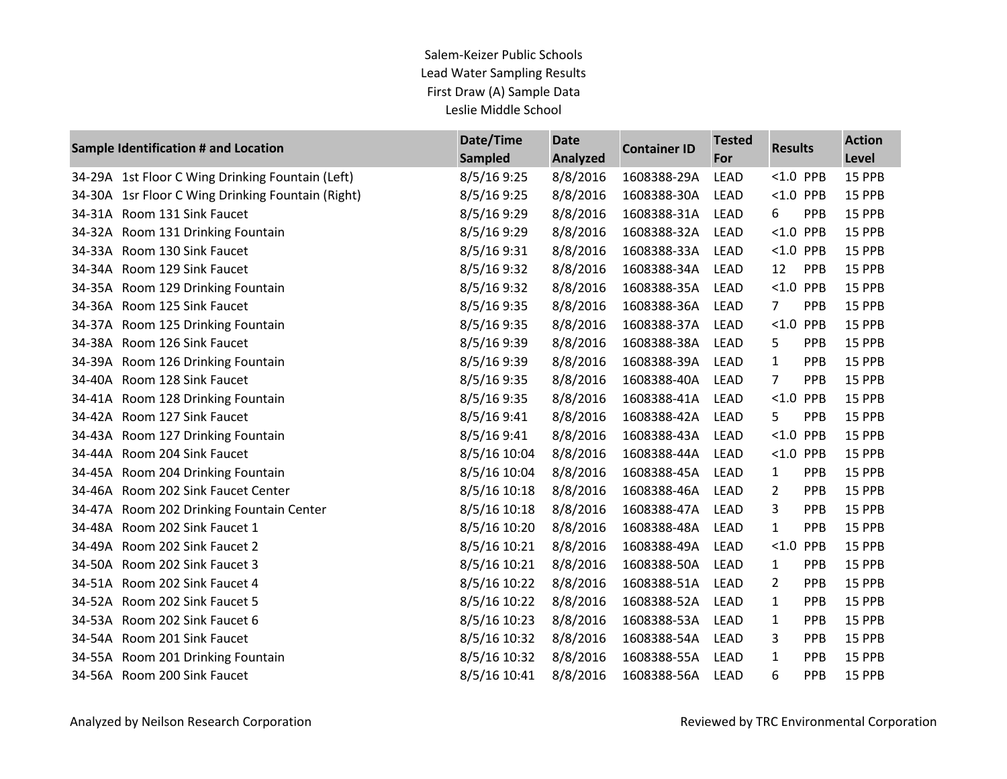|        | Sample Identification # and Location             | Date/Time<br><b>Sampled</b> | <b>Date</b><br><b>Analyzed</b> | <b>Container ID</b> | <b>Tested</b><br>For | <b>Results</b> |            | <b>Action</b><br>Level |
|--------|--------------------------------------------------|-----------------------------|--------------------------------|---------------------|----------------------|----------------|------------|------------------------|
|        | 34-29A 1st Floor C Wing Drinking Fountain (Left) | 8/5/169:25                  | 8/8/2016                       | 1608388-29A         | <b>LEAD</b>          | $< 1.0$ PPB    |            | 15 PPB                 |
| 34-30A | 1sr Floor C Wing Drinking Fountain (Right)       | 8/5/169:25                  | 8/8/2016                       | 1608388-30A         | <b>LEAD</b>          | $< 1.0$ PPB    |            | 15 PPB                 |
| 34-31A | Room 131 Sink Faucet                             | 8/5/16 9:29                 | 8/8/2016                       | 1608388-31A         | LEAD                 | 6              | PPB        | 15 PPB                 |
| 34-32A | Room 131 Drinking Fountain                       | 8/5/16 9:29                 | 8/8/2016                       | 1608388-32A         | <b>LEAD</b>          | < 1.0          | PPB        | 15 PPB                 |
| 34-33A | Room 130 Sink Faucet                             | 8/5/16 9:31                 | 8/8/2016                       | 1608388-33A         | <b>LEAD</b>          | < 1.0          | PPB        | 15 PPB                 |
| 34-34A | Room 129 Sink Faucet                             | 8/5/16 9:32                 | 8/8/2016                       | 1608388-34A         | <b>LEAD</b>          | 12             | PPB        | 15 PPB                 |
| 34-35A | Room 129 Drinking Fountain                       | 8/5/16 9:32                 | 8/8/2016                       | 1608388-35A         | <b>LEAD</b>          | < 1.0          | PPB        | 15 PPB                 |
| 34-36A | Room 125 Sink Faucet                             | 8/5/16 9:35                 | 8/8/2016                       | 1608388-36A         | <b>LEAD</b>          | $\overline{7}$ | PPB        | 15 PPB                 |
| 34-37A | Room 125 Drinking Fountain                       | 8/5/16 9:35                 | 8/8/2016                       | 1608388-37A         | <b>LEAD</b>          | < 1.0          | <b>PPB</b> | 15 PPB                 |
| 34-38A | Room 126 Sink Faucet                             | 8/5/16 9:39                 | 8/8/2016                       | 1608388-38A         | <b>LEAD</b>          | 5              | PPB        | 15 PPB                 |
| 34-39A | Room 126 Drinking Fountain                       | 8/5/16 9:39                 | 8/8/2016                       | 1608388-39A         | <b>LEAD</b>          | $\mathbf{1}$   | PPB        | 15 PPB                 |
| 34-40A | Room 128 Sink Faucet                             | 8/5/16 9:35                 | 8/8/2016                       | 1608388-40A         | LEAD                 | $\overline{7}$ | PPB        | 15 PPB                 |
| 34-41A | Room 128 Drinking Fountain                       | 8/5/16 9:35                 | 8/8/2016                       | 1608388-41A         | <b>LEAD</b>          | < 1.0          | PPB        | 15 PPB                 |
| 34-42A | Room 127 Sink Faucet                             | 8/5/16 9:41                 | 8/8/2016                       | 1608388-42A         | <b>LEAD</b>          | 5              | PPB        | 15 PPB                 |
| 34-43A | Room 127 Drinking Fountain                       | 8/5/169:41                  | 8/8/2016                       | 1608388-43A         | LEAD                 | < 1.0          | PPB        | 15 PPB                 |
| 34-44A | Room 204 Sink Faucet                             | 8/5/16 10:04                | 8/8/2016                       | 1608388-44A         | LEAD                 | $<1.0$         | PPB        | 15 PPB                 |
| 34-45A | Room 204 Drinking Fountain                       | 8/5/16 10:04                | 8/8/2016                       | 1608388-45A         | <b>LEAD</b>          | 1              | PPB        | 15 PPB                 |
| 34-46A | Room 202 Sink Faucet Center                      | 8/5/16 10:18                | 8/8/2016                       | 1608388-46A         | <b>LEAD</b>          | $\overline{2}$ | PPB        | 15 PPB                 |
| 34-47A | Room 202 Drinking Fountain Center                | 8/5/16 10:18                | 8/8/2016                       | 1608388-47A         | <b>LEAD</b>          | 3              | <b>PPB</b> | 15 PPB                 |
| 34-48A | Room 202 Sink Faucet 1                           | 8/5/16 10:20                | 8/8/2016                       | 1608388-48A         | LEAD                 | $\mathbf{1}$   | PPB        | 15 PPB                 |
| 34-49A | Room 202 Sink Faucet 2                           | 8/5/16 10:21                | 8/8/2016                       | 1608388-49A         | <b>LEAD</b>          | < 1.0          | PPB        | 15 PPB                 |
| 34-50A | Room 202 Sink Faucet 3                           | 8/5/16 10:21                | 8/8/2016                       | 1608388-50A         | <b>LEAD</b>          | 1              | PPB        | 15 PPB                 |
| 34-51A | Room 202 Sink Faucet 4                           | 8/5/16 10:22                | 8/8/2016                       | 1608388-51A         | <b>LEAD</b>          | $\overline{2}$ | PPB        | 15 PPB                 |
| 34-52A | Room 202 Sink Faucet 5                           | 8/5/16 10:22                | 8/8/2016                       | 1608388-52A         | LEAD                 | $\mathbf{1}$   | PPB        | 15 PPB                 |
| 34-53A | Room 202 Sink Faucet 6                           | 8/5/16 10:23                | 8/8/2016                       | 1608388-53A         | LEAD                 | $\mathbf{1}$   | PPB        | 15 PPB                 |
| 34-54A | Room 201 Sink Faucet                             | 8/5/16 10:32                | 8/8/2016                       | 1608388-54A         | <b>LEAD</b>          | 3              | PPB        | 15 PPB                 |
| 34-55A | Room 201 Drinking Fountain                       | 8/5/16 10:32                | 8/8/2016                       | 1608388-55A         | <b>LEAD</b>          | 1              | <b>PPB</b> | 15 PPB                 |
| 34-56A | Room 200 Sink Faucet                             | 8/5/16 10:41                | 8/8/2016                       | 1608388-56A         | <b>LEAD</b>          | 6              | <b>PPB</b> | 15 PPB                 |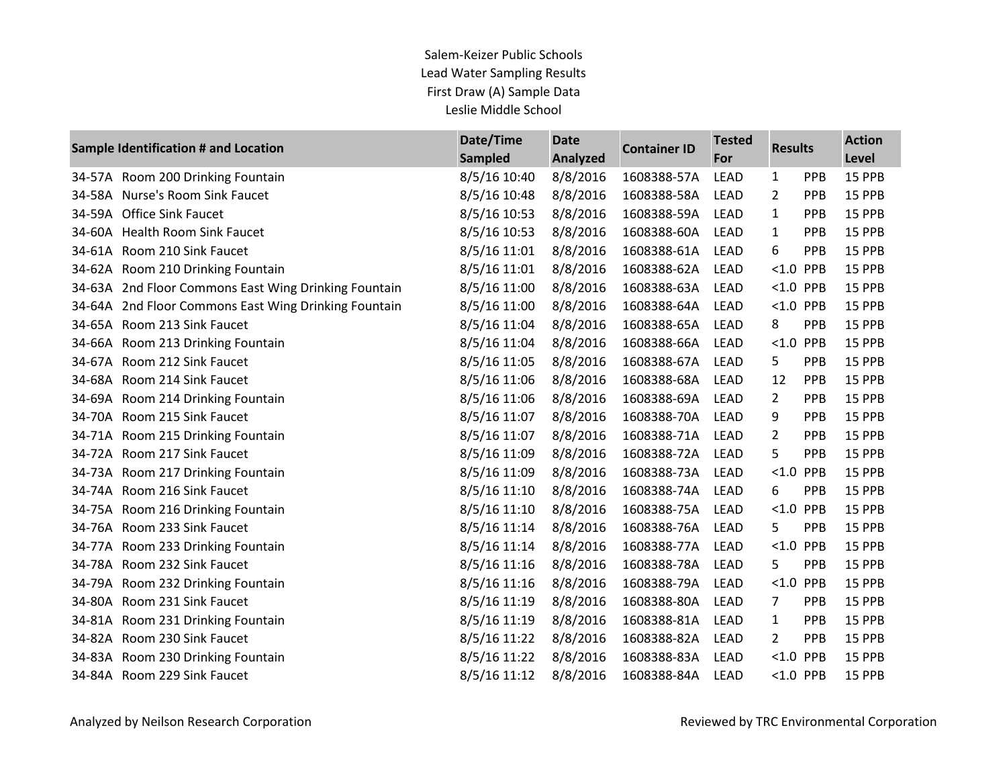|        | Sample Identification # and Location          | Date/Time<br><b>Sampled</b> | <b>Date</b><br><b>Analyzed</b> | <b>Container ID</b> | <b>Tested</b><br>For | <b>Results</b> |            | <b>Action</b><br>Level |
|--------|-----------------------------------------------|-----------------------------|--------------------------------|---------------------|----------------------|----------------|------------|------------------------|
|        | 34-57A Room 200 Drinking Fountain             | 8/5/16 10:40                | 8/8/2016                       | 1608388-57A         | <b>LEAD</b>          | $\mathbf{1}$   | PPB        | 15 PPB                 |
| 34-58A | Nurse's Room Sink Faucet                      | 8/5/16 10:48                | 8/8/2016                       | 1608388-58A         | <b>LEAD</b>          | $\overline{2}$ | PPB        | 15 PPB                 |
| 34-59A | <b>Office Sink Faucet</b>                     | 8/5/16 10:53                | 8/8/2016                       | 1608388-59A         | <b>LEAD</b>          | $\mathbf{1}$   | PPB        | 15 PPB                 |
| 34-60A | <b>Health Room Sink Faucet</b>                | 8/5/16 10:53                | 8/8/2016                       | 1608388-60A         | <b>LEAD</b>          | $\mathbf{1}$   | PPB        | 15 PPB                 |
| 34-61A | Room 210 Sink Faucet                          | 8/5/16 11:01                | 8/8/2016                       | 1608388-61A         | <b>LEAD</b>          | 6              | PPB        | 15 PPB                 |
| 34-62A | Room 210 Drinking Fountain                    | 8/5/16 11:01                | 8/8/2016                       | 1608388-62A         | <b>LEAD</b>          | < 1.0          | PPB        | 15 PPB                 |
| 34-63A | 2nd Floor Commons East Wing Drinking Fountain | 8/5/16 11:00                | 8/8/2016                       | 1608388-63A         | <b>LEAD</b>          | $< 1.0$ PPB    |            | 15 PPB                 |
| 34-64A | 2nd Floor Commons East Wing Drinking Fountain | 8/5/16 11:00                | 8/8/2016                       | 1608388-64A         | <b>LEAD</b>          | $< 1.0$ PPB    |            | 15 PPB                 |
| 34-65A | Room 213 Sink Faucet                          | 8/5/16 11:04                | 8/8/2016                       | 1608388-65A         | <b>LEAD</b>          | 8              | PPB        | 15 PPB                 |
| 34-66A | Room 213 Drinking Fountain                    | 8/5/16 11:04                | 8/8/2016                       | 1608388-66A         | <b>LEAD</b>          | < 1.0          | PPB        | 15 PPB                 |
| 34-67A | Room 212 Sink Faucet                          | 8/5/16 11:05                | 8/8/2016                       | 1608388-67A         | <b>LEAD</b>          | 5              | PPB        | 15 PPB                 |
| 34-68A | Room 214 Sink Faucet                          | 8/5/16 11:06                | 8/8/2016                       | 1608388-68A         | <b>LEAD</b>          | 12             | PPB        | 15 PPB                 |
|        | 34-69A Room 214 Drinking Fountain             | 8/5/16 11:06                | 8/8/2016                       | 1608388-69A         | <b>LEAD</b>          | $\overline{2}$ | PPB        | 15 PPB                 |
| 34-70A | Room 215 Sink Faucet                          | 8/5/16 11:07                | 8/8/2016                       | 1608388-70A         | <b>LEAD</b>          | 9              | <b>PPB</b> | 15 PPB                 |
| 34-71A | Room 215 Drinking Fountain                    | 8/5/16 11:07                | 8/8/2016                       | 1608388-71A         | <b>LEAD</b>          | $\overline{2}$ | PPB        | 15 PPB                 |
| 34-72A | Room 217 Sink Faucet                          | 8/5/16 11:09                | 8/8/2016                       | 1608388-72A         | <b>LEAD</b>          | 5              | PPB        | 15 PPB                 |
| 34-73A | Room 217 Drinking Fountain                    | 8/5/16 11:09                | 8/8/2016                       | 1608388-73A         | <b>LEAD</b>          | < 1.0          | PPB        | 15 PPB                 |
| 34-74A | Room 216 Sink Faucet                          | 8/5/16 11:10                | 8/8/2016                       | 1608388-74A         | <b>LEAD</b>          | 6              | PPB        | 15 PPB                 |
| 34-75A | Room 216 Drinking Fountain                    | 8/5/16 11:10                | 8/8/2016                       | 1608388-75A         | <b>LEAD</b>          | < 1.0          | PPB        | 15 PPB                 |
| 34-76A | Room 233 Sink Faucet                          | 8/5/16 11:14                | 8/8/2016                       | 1608388-76A         | <b>LEAD</b>          | 5              | PPB        | 15 PPB                 |
| 34-77A | Room 233 Drinking Fountain                    | 8/5/16 11:14                | 8/8/2016                       | 1608388-77A         | <b>LEAD</b>          | $< 1.0$ PPB    |            | 15 PPB                 |
| 34-78A | Room 232 Sink Faucet                          | 8/5/16 11:16                | 8/8/2016                       | 1608388-78A         | <b>LEAD</b>          | 5              | PPB        | 15 PPB                 |
| 34-79A | Room 232 Drinking Fountain                    | 8/5/16 11:16                | 8/8/2016                       | 1608388-79A         | LEAD                 | $< 1.0$ PPB    |            | 15 PPB                 |
| 34-80A | Room 231 Sink Faucet                          | 8/5/16 11:19                | 8/8/2016                       | 1608388-80A         | <b>LEAD</b>          | $\overline{7}$ | PPB        | 15 PPB                 |
| 34-81A | Room 231 Drinking Fountain                    | 8/5/16 11:19                | 8/8/2016                       | 1608388-81A         | <b>LEAD</b>          | $\mathbf{1}$   | PPB        | 15 PPB                 |
| 34-82A | Room 230 Sink Faucet                          | 8/5/16 11:22                | 8/8/2016                       | 1608388-82A         | <b>LEAD</b>          | $\overline{2}$ | PPB        | 15 PPB                 |
| 34-83A | Room 230 Drinking Fountain                    | 8/5/16 11:22                | 8/8/2016                       | 1608388-83A         | <b>LEAD</b>          | $< 1.0$ PPB    |            | 15 PPB                 |
| 34-84A | Room 229 Sink Faucet                          | 8/5/16 11:12                | 8/8/2016                       | 1608388-84A         | <b>LEAD</b>          | <1.0 PPB       |            | 15 PPB                 |